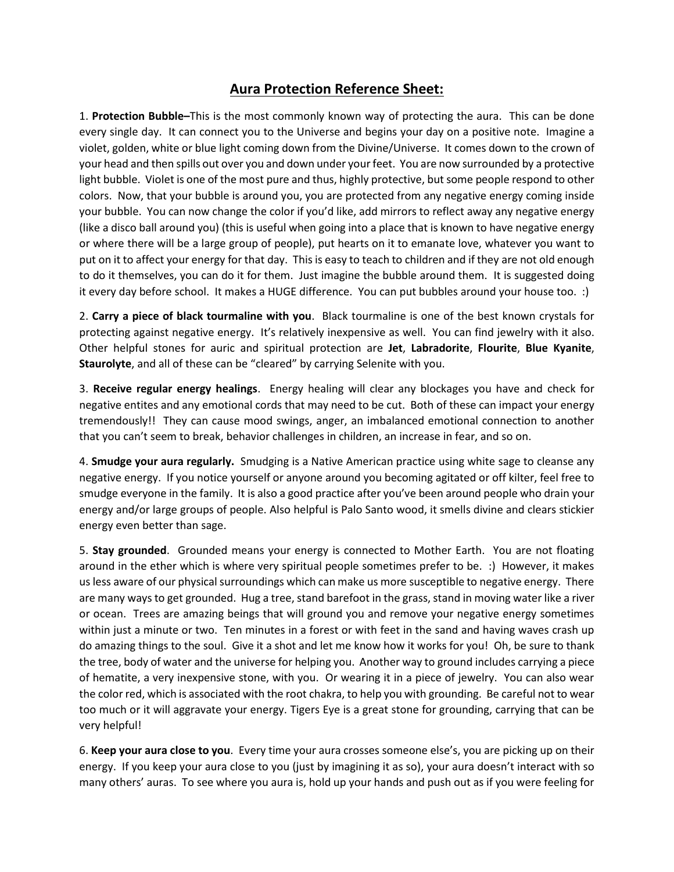## **Aura Protection Reference Sheet:**

1. **Protection Bubble–**This is the most commonly known way of protecting the aura. This can be done every single day. It can connect you to the Universe and begins your day on a positive note. Imagine a violet, golden, white or blue light coming down from the Divine/Universe. It comes down to the crown of your head and then spills out over you and down under your feet. You are now surrounded by a protective light bubble. Violet is one of the most pure and thus, highly protective, but some people respond to other colors. Now, that your bubble is around you, you are protected from any negative energy coming inside your bubble. You can now change the color if you'd like, add mirrors to reflect away any negative energy (like a disco ball around you) (this is useful when going into a place that is known to have negative energy or where there will be a large group of people), put hearts on it to emanate love, whatever you want to put on it to affect your energy for that day. This is easy to teach to children and if they are not old enough to do it themselves, you can do it for them. Just imagine the bubble around them. It is suggested doing it every day before school. It makes a HUGE difference. You can put bubbles around your house too. :)

2. **Carry a piece of black tourmaline with you**. Black tourmaline is one of the best known crystals for protecting against negative energy. It's relatively inexpensive as well. You can find jewelry with it also. Other helpful stones for auric and spiritual protection are **Jet**, **Labradorite**, **Flourite**, **Blue Kyanite**, **Staurolyte**, and all of these can be "cleared" by carrying Selenite with you.

3. **Receive regular energy healings**. Energy healing will clear any blockages you have and check for negative entites and any emotional cords that may need to be cut. Both of these can impact your energy tremendously!! They can cause mood swings, anger, an imbalanced emotional connection to another that you can't seem to break, behavior challenges in children, an increase in fear, and so on.

4. **Smudge your aura regularly.** Smudging is a Native American practice using white sage to cleanse any negative energy. If you notice yourself or anyone around you becoming agitated or off kilter, feel free to smudge everyone in the family. It is also a good practice after you've been around people who drain your energy and/or large groups of people. Also helpful is Palo Santo wood, it smells divine and clears stickier energy even better than sage.

5. **Stay grounded**. Grounded means your energy is connected to Mother Earth. You are not floating around in the ether which is where very spiritual people sometimes prefer to be. :) However, it makes us less aware of our physical surroundings which can make us more susceptible to negative energy. There are many ways to get grounded. Hug a tree, stand barefoot in the grass, stand in moving water like a river or ocean. Trees are amazing beings that will ground you and remove your negative energy sometimes within just a minute or two. Ten minutes in a forest or with feet in the sand and having waves crash up do amazing things to the soul. Give it a shot and let me know how it works for you! Oh, be sure to thank the tree, body of water and the universe for helping you. Another way to ground includes carrying a piece of hematite, a very inexpensive stone, with you. Or wearing it in a piece of jewelry. You can also wear the color red, which is associated with the root chakra, to help you with grounding. Be careful not to wear too much or it will aggravate your energy. Tigers Eye is a great stone for grounding, carrying that can be very helpful!

6. **Keep your aura close to you**. Every time your aura crosses someone else's, you are picking up on their energy. If you keep your aura close to you (just by imagining it as so), your aura doesn't interact with so many others' auras. To see where you aura is, hold up your hands and push out as if you were feeling for